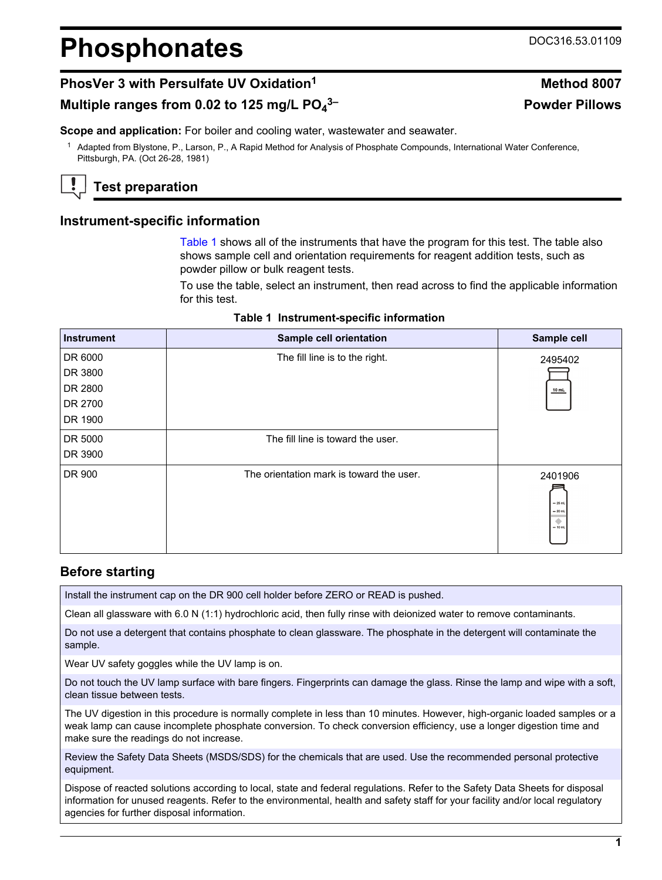# **Phosphonates** DOC316.53.01109

# **PhosVer 3 with Persulfate UV Oxidation<sup>1</sup> 2007 Method 8007**

## **Multiple ranges from 0.02 to 125 mg/L PO<sup>4</sup>**

**Scope and application:** For boiler and cooling water, wastewater and seawater.

<sup>1</sup> Adapted from Blystone, P., Larson, P., A Rapid Method for Analysis of Phosphate Compounds, International Water Conference, Pittsburgh, PA. (Oct 26-28, 1981)

# **Test preparation**

## **Instrument-specific information**

[Table 1](#page-0-0) shows all of the instruments that have the program for this test. The table also shows sample cell and orientation requirements for reagent addition tests, such as powder pillow or bulk reagent tests.

To use the table, select an instrument, then read across to find the applicable information for this test.

|  | Table 1 Instrument-specific information |  |
|--|-----------------------------------------|--|
|--|-----------------------------------------|--|

<span id="page-0-1"></span><span id="page-0-0"></span>

| <b>Instrument</b> | <b>Sample cell orientation</b>           | Sample cell                                       |
|-------------------|------------------------------------------|---------------------------------------------------|
| DR 6000           | The fill line is to the right.           | 2495402                                           |
| DR 3800           |                                          |                                                   |
| DR 2800           |                                          | 10 mL                                             |
| DR 2700           |                                          |                                                   |
| DR 1900           |                                          |                                                   |
| DR 5000           | The fill line is toward the user.        |                                                   |
| DR 3900           |                                          |                                                   |
| DR 900            | The orientation mark is toward the user. | 2401906<br>$-25$ mL<br>$= 20$ mL<br>۰<br>$-10$ mL |

## **Before starting**

Install the instrument cap on the DR 900 cell holder before ZERO or READ is pushed.

Clean all glassware with 6.0 N (1:1) hydrochloric acid, then fully rinse with deionized water to remove contaminants.

Do not use a detergent that contains phosphate to clean glassware. The phosphate in the detergent will contaminate the sample.

Wear UV safety goggles while the UV lamp is on.

Do not touch the UV lamp surface with bare fingers. Fingerprints can damage the glass. Rinse the lamp and wipe with a soft, clean tissue between tests.

The UV digestion in this procedure is normally complete in less than 10 minutes. However, high-organic loaded samples or a weak lamp can cause incomplete phosphate conversion. To check conversion efficiency, use a longer digestion time and make sure the readings do not increase.

Review the Safety Data Sheets (MSDS/SDS) for the chemicals that are used. Use the recommended personal protective equipment.

Dispose of reacted solutions according to local, state and federal regulations. Refer to the Safety Data Sheets for disposal information for unused reagents. Refer to the environmental, health and safety staff for your facility and/or local regulatory agencies for further disposal information.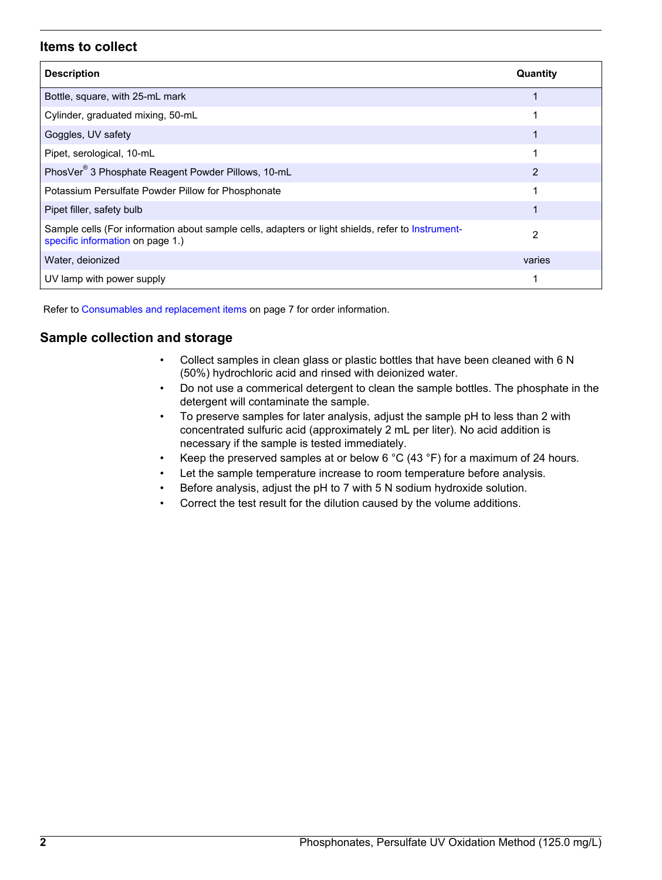## **Items to collect**

| <b>Description</b>                                                                                                                    | Quantity |
|---------------------------------------------------------------------------------------------------------------------------------------|----------|
| Bottle, square, with 25-mL mark                                                                                                       |          |
| Cylinder, graduated mixing, 50-mL                                                                                                     |          |
| Goggles, UV safety                                                                                                                    |          |
| Pipet, serological, 10-mL                                                                                                             |          |
| PhosVer <sup>®</sup> 3 Phosphate Reagent Powder Pillows, 10-mL                                                                        | 2        |
| Potassium Persulfate Powder Pillow for Phosphonate                                                                                    |          |
| Pipet filler, safety bulb                                                                                                             |          |
| Sample cells (For information about sample cells, adapters or light shields, refer to Instrument-<br>specific information on page 1.) | 2        |
| Water, deionized                                                                                                                      | varies   |
| UV lamp with power supply                                                                                                             |          |

Refer to [Consumables and replacement items](#page-6-0) on page 7 for order information.

## **Sample collection and storage**

- Collect samples in clean glass or plastic bottles that have been cleaned with 6 N (50%) hydrochloric acid and rinsed with deionized water.
- Do not use a commerical detergent to clean the sample bottles. The phosphate in the detergent will contaminate the sample.
- To preserve samples for later analysis, adjust the sample pH to less than 2 with concentrated sulfuric acid (approximately 2 mL per liter). No acid addition is necessary if the sample is tested immediately.
- Keep the preserved samples at or below 6  $^{\circ}$ C (43  $^{\circ}$ F) for a maximum of 24 hours.
- Let the sample temperature increase to room temperature before analysis.
- Before analysis, adjust the pH to 7 with 5 N sodium hydroxide solution.
- Correct the test result for the dilution caused by the volume additions.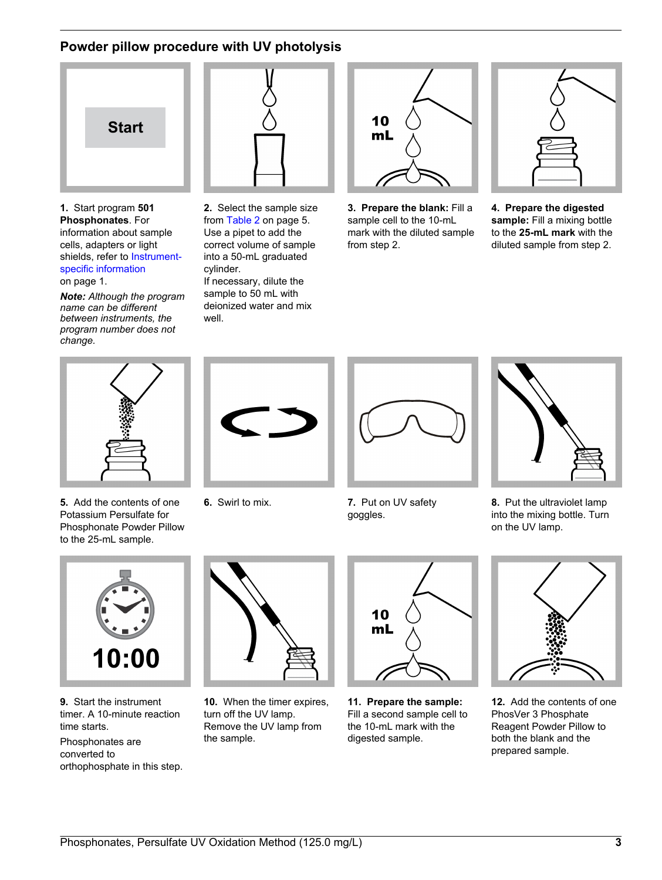# **Powder pillow procedure with UV photolysis**



**1.** Start program **501 Phosphonates**. For information about sample cells, adapters or light shields, refer to [Instrument](#page-0-1)[specific information](#page-0-1) on page 1.

*Note: Although the program name can be different between instruments, the program number does not change.*



**2.** Select the sample size from [Table 2](#page-4-0) on page 5. Use a pipet to add the correct volume of sample into a 50-mL graduated cylinder. If necessary, dilute the sample to 50 mL with deionized water and mix well.



**3. Prepare the blank:** Fill a sample cell to the 10-mL mark with the diluted sample from step 2.



**4. Prepare the digested sample:** Fill a mixing bottle to the **25-mL mark** with the diluted sample from step 2.



**5.** Add the contents of one Potassium Persulfate for Phosphonate Powder Pillow to the 25-mL sample.





**6.** Swirl to mix. **7.** Put on UV safety goggles.



**8.** Put the ultraviolet lamp into the mixing bottle. Turn on the UV lamp.



**9.** Start the instrument timer. A 10-minute reaction time starts.

Phosphonates are converted to orthophosphate in this step.



**10.** When the timer expires, turn off the UV lamp. Remove the UV lamp from the sample.



**11. Prepare the sample:** Fill a second sample cell to the 10-mL mark with the digested sample.



**12.** Add the contents of one PhosVer 3 Phosphate Reagent Powder Pillow to both the blank and the prepared sample.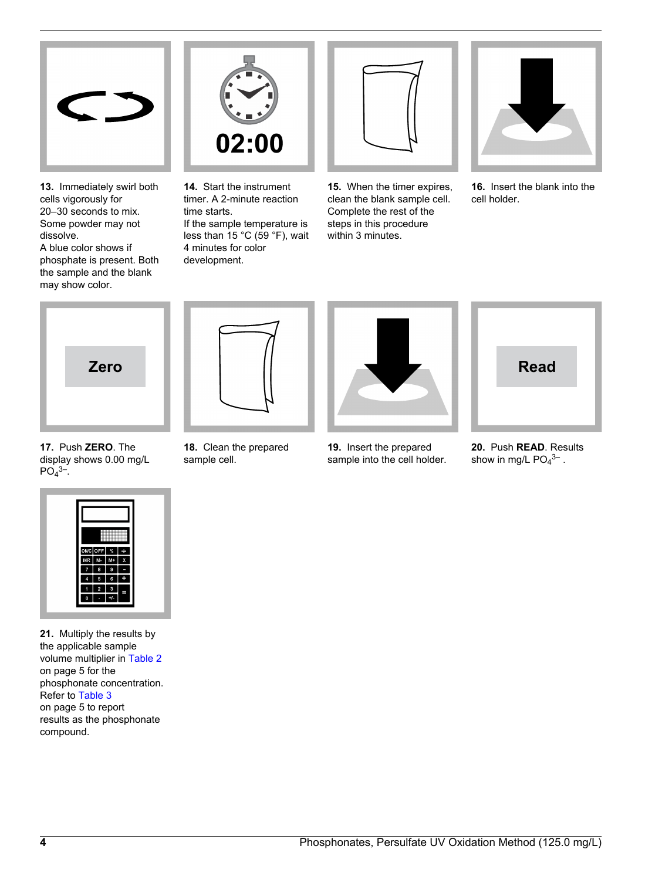

**13.** Immediately swirl both cells vigorously for 20–30 seconds to mix. Some powder may not dissolve. A blue color shows if phosphate is present. Both the sample and the blank

may show color.



**14.** Start the instrument timer. A 2-minute reaction time starts. If the sample temperature is less than 15 °C (59 °F), wait 4 minutes for color development.



**15.** When the timer expires, clean the blank sample cell. Complete the rest of the steps in this procedure within 3 minutes.



**16.** Insert the blank into the cell holder.



**17.** Push **ZERO**. The display shows 0.00 mg/L  $PO<sub>4</sub>$ <sup>3–</sup>.



**18.** Clean the prepared sample cell.



**19.** Insert the prepared sample into the cell holder.



**20.** Push **READ**. Results show in mg/L  $PO<sub>4</sub><sup>3–</sup>$ .



**21.** Multiply the results by the applicable sample volume multiplier in [Table 2](#page-4-0) on page 5 for the phosphonate concentration. Refer to [Table 3](#page-4-1) on page 5 to report results as the phosphonate compound.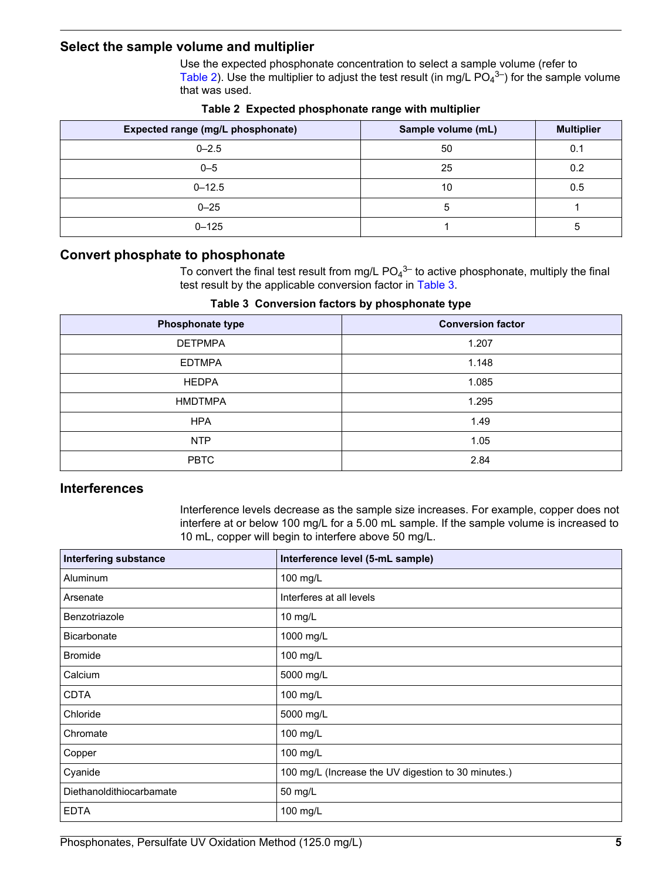## <span id="page-4-0"></span>**Select the sample volume and multiplier**

Use the expected phosphonate concentration to select a sample volume (refer to [Table 2](#page-4-0)). Use the multiplier to adjust the test result (in mg/L  $PO<sub>4</sub><sup>3–</sup>$ ) for the sample volume that was used.

| Expected range (mg/L phosphonate) | Sample volume (mL) | <b>Multiplier</b> |
|-----------------------------------|--------------------|-------------------|
| $0 - 2.5$                         | 50                 | 0.1               |
| $0 - 5$                           | 25                 | 0.2               |
| $0 - 12.5$                        | 10                 | 0.5               |
| $0 - 25$                          |                    |                   |
| $0 - 125$                         |                    | 5                 |

**Table 2 Expected phosphonate range with multiplier**

## <span id="page-4-1"></span>**Convert phosphate to phosphonate**

To convert the final test result from mg/L  $PO<sub>4</sub><sup>3–</sup>$  to active phosphonate, multiply the final test result by the applicable conversion factor in [Table 3.](#page-4-1)

**Table 3 Conversion factors by phosphonate type**

| Phosphonate type | <b>Conversion factor</b> |  |
|------------------|--------------------------|--|
| <b>DETPMPA</b>   | 1.207                    |  |
| <b>EDTMPA</b>    | 1.148                    |  |
| <b>HEDPA</b>     | 1.085                    |  |
| <b>HMDTMPA</b>   | 1.295                    |  |
| <b>HPA</b>       | 1.49                     |  |
| <b>NTP</b>       | 1.05                     |  |
| <b>PBTC</b>      | 2.84                     |  |

## **Interferences**

Interference levels decrease as the sample size increases. For example, copper does not interfere at or below 100 mg/L for a 5.00 mL sample. If the sample volume is increased to 10 mL, copper will begin to interfere above 50 mg/L.

| <b>Interfering substance</b> | Interference level (5-mL sample)                    |
|------------------------------|-----------------------------------------------------|
| <b>Aluminum</b>              | 100 mg/L                                            |
| Arsenate                     | Interferes at all levels                            |
| Benzotriazole                | 10 mg/L                                             |
| <b>Bicarbonate</b>           | 1000 mg/L                                           |
| <b>Bromide</b>               | 100 mg/L                                            |
| Calcium                      | 5000 mg/L                                           |
| <b>CDTA</b>                  | 100 mg/L                                            |
| Chloride                     | 5000 mg/L                                           |
| Chromate                     | 100 mg/L                                            |
| Copper                       | 100 mg/L                                            |
| Cyanide                      | 100 mg/L (Increase the UV digestion to 30 minutes.) |
| Diethanoldithiocarbamate     | 50 mg/L                                             |
| <b>EDTA</b>                  | 100 mg/L                                            |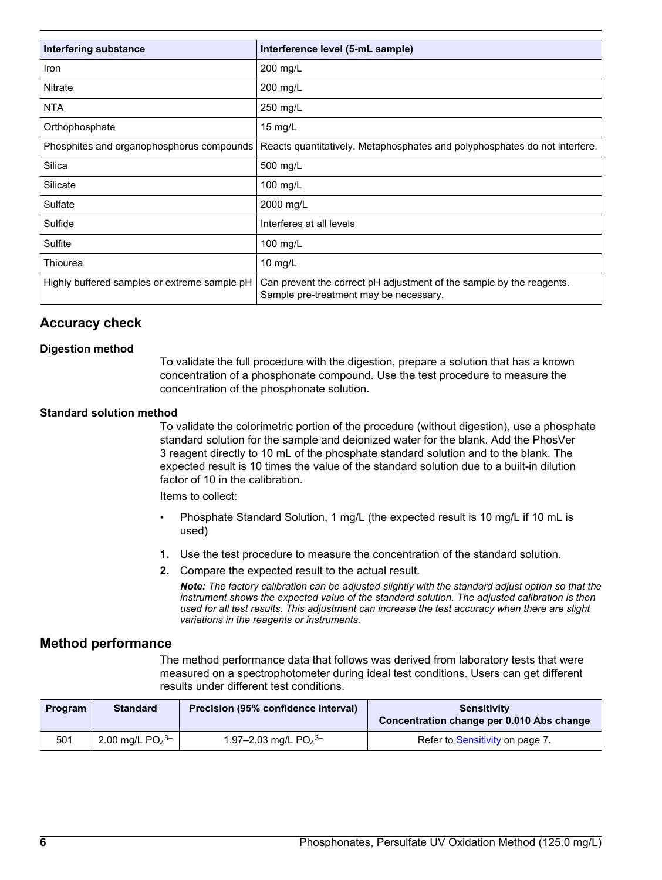| Interfering substance                        | Interference level (5-mL sample)                                                                               |  |  |
|----------------------------------------------|----------------------------------------------------------------------------------------------------------------|--|--|
| <b>Iron</b>                                  | 200 mg/L                                                                                                       |  |  |
| <b>Nitrate</b>                               | 200 mg/L                                                                                                       |  |  |
| <b>NTA</b>                                   | 250 mg/L                                                                                                       |  |  |
| Orthophosphate                               | $15$ mg/L                                                                                                      |  |  |
| Phosphites and organophosphorus compounds    | Reacts quantitatively. Metaphosphates and polyphosphates do not interfere.                                     |  |  |
| Silica                                       | 500 mg/L                                                                                                       |  |  |
| Silicate                                     | 100 mg/L                                                                                                       |  |  |
| Sulfate                                      | 2000 mg/L                                                                                                      |  |  |
| Sulfide                                      | Interferes at all levels                                                                                       |  |  |
| Sulfite                                      | 100 mg/L                                                                                                       |  |  |
| Thiourea                                     | 10 $mg/L$                                                                                                      |  |  |
| Highly buffered samples or extreme sample pH | Can prevent the correct pH adjustment of the sample by the reagents.<br>Sample pre-treatment may be necessary. |  |  |

# **Accuracy check**

## **Digestion method**

To validate the full procedure with the digestion, prepare a solution that has a known concentration of a phosphonate compound. Use the test procedure to measure the concentration of the phosphonate solution.

#### **Standard solution method**

To validate the colorimetric portion of the procedure (without digestion), use a phosphate standard solution for the sample and deionized water for the blank. Add the PhosVer 3 reagent directly to 10 mL of the phosphate standard solution and to the blank. The expected result is 10 times the value of the standard solution due to a built-in dilution factor of 10 in the calibration.

Items to collect:

- Phosphate Standard Solution, 1 mg/L (the expected result is 10 mg/L if 10 mL is used)
- **1.** Use the test procedure to measure the concentration of the standard solution.
- **2.** Compare the expected result to the actual result.

*Note: The factory calibration can be adjusted slightly with the standard adjust option so that the instrument shows the expected value of the standard solution. The adjusted calibration is then used for all test results. This adjustment can increase the test accuracy when there are slight variations in the reagents or instruments.*

## **Method performance**

The method performance data that follows was derived from laboratory tests that were measured on a spectrophotometer during ideal test conditions. Users can get different results under different test conditions.

| <b>Program</b> | <b>Standard</b>               | Precision (95% confidence interval) | <b>Sensitivity</b><br>Concentration change per 0.010 Abs change |
|----------------|-------------------------------|-------------------------------------|-----------------------------------------------------------------|
| 501            | 2.00 mg/L $PO4$ <sup>3-</sup> | 1.97-2.03 mg/L $PO4^{3-}$           | Refer to Sensitivity on page 7.                                 |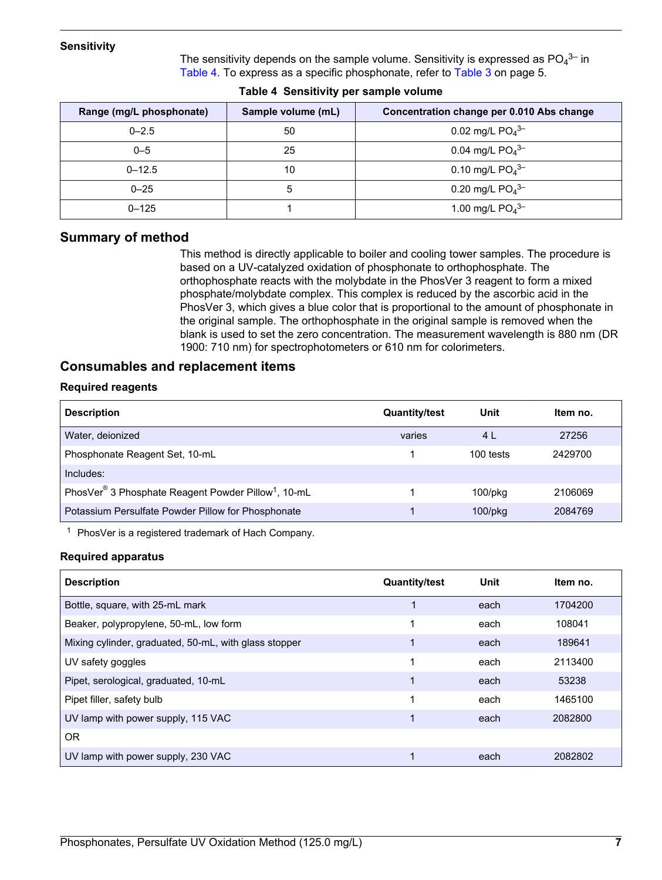#### <span id="page-6-1"></span>**Sensitivity**

The sensitivity depends on the sample volume. Sensitivity is expressed as  $PO<sub>4</sub><sup>3–</sup>$  in [Table 4](#page-6-2). To express as a specific phosphonate, refer to [Table 3](#page-4-1) on page 5.

<span id="page-6-2"></span>

| Range (mg/L phosphonate) | Sample volume (mL)<br>Concentration change per 0.010 Abs change |                               |
|--------------------------|-----------------------------------------------------------------|-------------------------------|
| $0 - 2.5$                | 50                                                              | 0.02 mg/L $PO4$ <sup>3-</sup> |
| $0 - 5$                  | 25                                                              | 0.04 mg/L $PO4$ <sup>3-</sup> |
| $0 - 12.5$               | 10                                                              | 0.10 mg/L $PO4$ <sup>3-</sup> |
| $0 - 25$                 | 5                                                               | 0.20 mg/L $PO4$ <sup>3-</sup> |
| $0 - 125$                |                                                                 | 1.00 mg/L $PO4$ <sup>3-</sup> |

## **Summary of method**

This method is directly applicable to boiler and cooling tower samples. The procedure is based on a UV-catalyzed oxidation of phosphonate to orthophosphate. The orthophosphate reacts with the molybdate in the PhosVer 3 reagent to form a mixed phosphate/molybdate complex. This complex is reduced by the ascorbic acid in the PhosVer 3, which gives a blue color that is proportional to the amount of phosphonate in the original sample. The orthophosphate in the original sample is removed when the blank is used to set the zero concentration. The measurement wavelength is 880 nm (DR 1900: 710 nm) for spectrophotometers or 610 nm for colorimeters.

## <span id="page-6-0"></span>**Consumables and replacement items**

#### **Required reagents**

| <b>Description</b>                                                          | <b>Quantity/test</b> | Unit           | Item no. |
|-----------------------------------------------------------------------------|----------------------|----------------|----------|
| Water, deionized                                                            | varies               | 4 <sub>L</sub> | 27256    |
| Phosphonate Reagent Set, 10-mL                                              |                      | 100 tests      | 2429700  |
| Includes:                                                                   |                      |                |          |
| PhosVer <sup>®</sup> 3 Phosphate Reagent Powder Pillow <sup>1</sup> , 10-mL |                      | $100$ /p $ka$  | 2106069  |
| Potassium Persulfate Powder Pillow for Phosphonate                          |                      | $100$ /p $kg$  | 2084769  |

<sup>1</sup> PhosVer is a registered trademark of Hach Company.

#### **Required apparatus**

| <b>Description</b>                                    | <b>Quantity/test</b> | <b>Unit</b> | ltem no. |
|-------------------------------------------------------|----------------------|-------------|----------|
| Bottle, square, with 25-mL mark                       |                      | each        | 1704200  |
| Beaker, polypropylene, 50-mL, low form                |                      | each        | 108041   |
| Mixing cylinder, graduated, 50-mL, with glass stopper | 1                    | each        | 189641   |
| UV safety goggles                                     | 1                    | each        | 2113400  |
| Pipet, serological, graduated, 10-mL                  | 1                    | each        | 53238    |
| Pipet filler, safety bulb                             |                      | each        | 1465100  |
| UV lamp with power supply, 115 VAC                    | 1                    | each        | 2082800  |
| <b>OR</b>                                             |                      |             |          |
| UV lamp with power supply, 230 VAC                    |                      | each        | 2082802  |